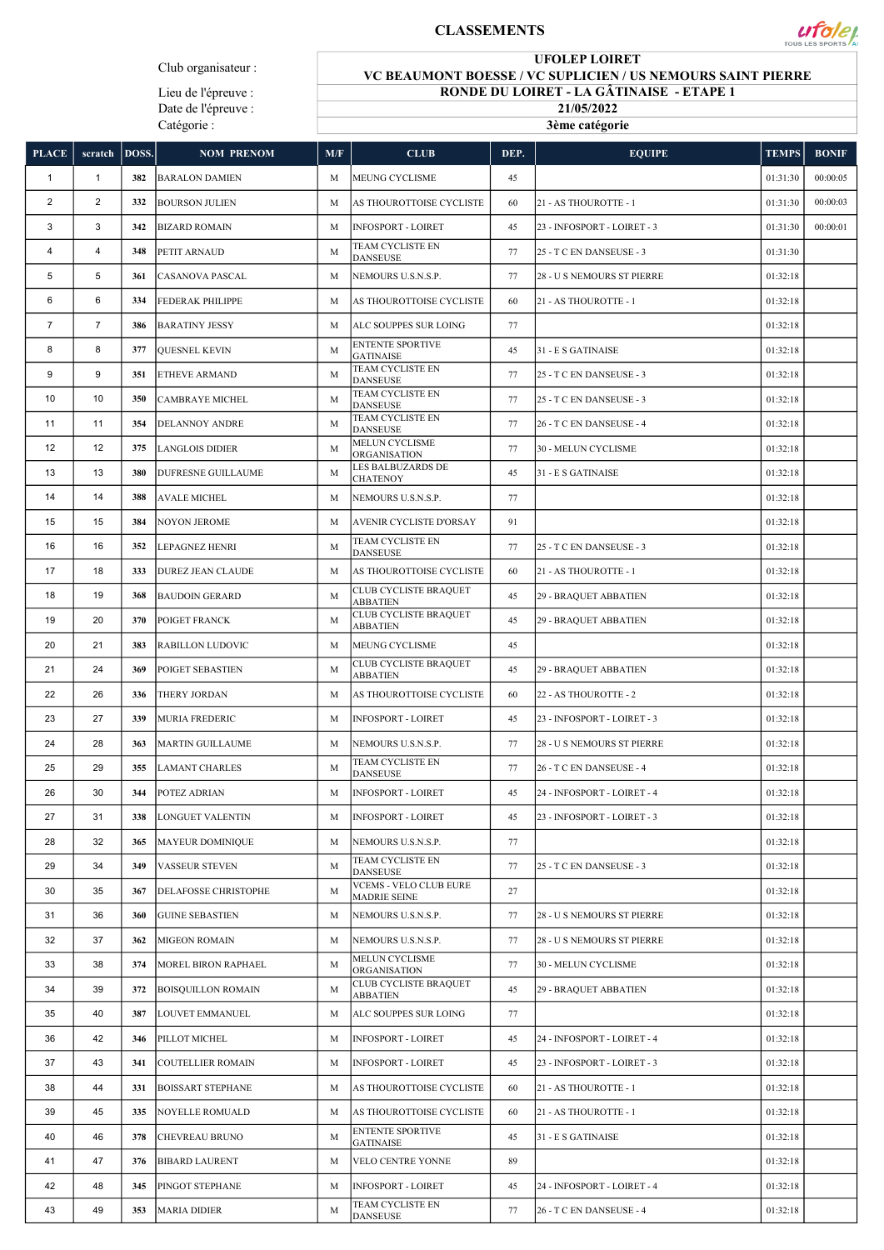## CLASSEMENTS



Lieu de l'épreuve : Date de l'épreuve : Catégorie :

## UFOLEP LOIRET

 $\mathcal{U}$  foley

VC BEAUMONT BOESSE / VC SUPLICIEN / US NEMOURS SAINT PIERRE RONDE DU LOIRET - LA GÂTINAISE - ETAPE 1

> 21/05/2022 3ème catégorie

| <b>PLACE</b>   | scratch        | DOSS. | <b>NOM PRENOM</b>         | M/F | <b>CLUB</b>                                          | DEP. | <b>EQUIPE</b>               | <b>TEMPS</b> | <b>BONIF</b> |
|----------------|----------------|-------|---------------------------|-----|------------------------------------------------------|------|-----------------------------|--------------|--------------|
| 1              | $\mathbf{1}$   | 382   | <b>BARALON DAMIEN</b>     | M   | <b>MEUNG CYCLISME</b>                                | 45   |                             | 01:31:30     | 00:00:05     |
| $\overline{2}$ | $\overline{2}$ | 332   | <b>BOURSON JULIEN</b>     | M   | AS THOUROTTOISE CYCLISTE                             | 60   | 21 - AS THOUROTTE - 1       | 01:31:30     | 00:00:03     |
| 3              | 3              | 342   | <b>BIZARD ROMAIN</b>      | M   | <b>INFOSPORT - LOIRET</b>                            | 45   | 23 - INFOSPORT - LOIRET - 3 | 01:31:30     | 00:00:01     |
| 4              | $\overline{4}$ | 348   | PETIT ARNAUD              | M   | TEAM CYCLISTE EN<br><b>DANSEUSE</b>                  | 77   | 25 - T C EN DANSEUSE - 3    | 01:31:30     |              |
| 5              | 5              | 361   | <b>CASANOVA PASCAL</b>    | M   | NEMOURS U.S.N.S.P.                                   | 77   | 28 - U S NEMOURS ST PIERRE  | 01:32:18     |              |
| 6              | 6              | 334   | <b>FEDERAK PHILIPPE</b>   | M   | AS THOUROTTOISE CYCLISTE                             | 60   | 21 - AS THOUROTTE - 1       | 01:32:18     |              |
| $\overline{7}$ | $\overline{7}$ | 386   | <b>BARATINY JESSY</b>     | M   | ALC SOUPPES SUR LOING                                | 77   |                             | 01:32:18     |              |
| 8              | 8              | 377   | <b>OUESNEL KEVIN</b>      | M   | <b>ENTENTE SPORTIVE</b><br><b>GATINAISE</b>          | 45   | 31 - E S GATINAISE          | 01:32:18     |              |
| 9              | 9              | 351   | <b>ETHEVE ARMAND</b>      | M   | TEAM CYCLISTE EN<br><b>DANSEUSE</b>                  | 77   | 25 - T C EN DANSEUSE - 3    | 01:32:18     |              |
| 10             | 10             | 350   | <b>CAMBRAYE MICHEL</b>    | M   | TEAM CYCLISTE EN<br><b>DANSEUSE</b>                  | 77   | 25 - T C EN DANSEUSE - 3    | 01:32:18     |              |
| 11             | 11             | 354   | <b>DELANNOY ANDRE</b>     | M   | TEAM CYCLISTE EN<br><b>DANSEUSE</b>                  | 77   | 26 - T C EN DANSEUSE - 4    | 01:32:18     |              |
| 12             | 12             | 375   | <b>LANGLOIS DIDIER</b>    | M   | MELUN CYCLISME<br><b>ORGANISATION</b>                | 77   | 30 - MELUN CYCLISME         | 01:32:18     |              |
| 13             | 13             | 380   | DUFRESNE GUILLAUME        | M   | LES BALBUZARDS DE<br>CHATENOY                        | 45   | 31 - E S GATINAISE          | 01:32:18     |              |
| 14             | 14             | 388   | <b>AVALE MICHEL</b>       | M   | NEMOURS U.S.N.S.P.                                   | 77   |                             | 01:32:18     |              |
| 15             | 15             | 384   | <b>NOYON JEROME</b>       | M   | AVENIR CYCLISTE D'ORSAY                              | 91   |                             | 01:32:18     |              |
| 16             | 16             | 352   | <b>LEPAGNEZ HENRI</b>     | M   | TEAM CYCLISTE EN<br><b>DANSEUSE</b>                  | 77   | 25 - T C EN DANSEUSE - 3    | 01:32:18     |              |
| 17             | 18             | 333   | <b>DUREZ JEAN CLAUDE</b>  | M   | AS THOUROTTOISE CYCLISTE                             | 60   | 21 - AS THOUROTTE - 1       | 01:32:18     |              |
| 18             | 19             | 368   | <b>BAUDOIN GERARD</b>     | M   | CLUB CYCLISTE BRAQUET<br><b>ABBATIEN</b>             | 45   | 29 - BRAQUET ABBATIEN       | 01:32:18     |              |
| 19             | 20             | 370   | POIGET FRANCK             | M   | CLUB CYCLISTE BRAQUET<br><b>ABBATIEN</b>             | 45   | 29 - BRAQUET ABBATIEN       | 01:32:18     |              |
| 20             | 21             | 383   | <b>RABILLON LUDOVIC</b>   | M   | MEUNG CYCLISME                                       | 45   |                             | 01:32:18     |              |
| 21             | 24             | 369   | POIGET SEBASTIEN          | M   | CLUB CYCLISTE BRAQUET<br><b>ABBATIEN</b>             | 45   | 29 - BRAQUET ABBATIEN       | 01:32:18     |              |
| 22             | 26             | 336   | THERY JORDAN              | M   | AS THOUROTTOISE CYCLISTE                             | 60   | 22 - AS THOUROTTE - 2       | 01:32:18     |              |
| 23             | 27             | 339   | <b>MURIA FREDERIC</b>     | M   | <b>INFOSPORT - LOIRET</b>                            | 45   | 23 - INFOSPORT - LOIRET - 3 | 01:32:18     |              |
| 24             | 28             | 363   | MARTIN GUILLAUME          | M   | NEMOURS U.S.N.S.P.                                   | 77   | 28 - U S NEMOURS ST PIERRE  | 01:32:18     |              |
| 25             | 29             | 355   | <b>LAMANT CHARLES</b>     | M   | TEAM CYCLISTE EN<br><b>DANSEUSE</b>                  | 77   | 26 - T C EN DANSEUSE - 4    | 01:32:18     |              |
| 26             | 30             | 344   | POTEZ ADRIAN              | M   | <b>INFOSPORT - LOIRET</b>                            | 45   | 24 - INFOSPORT - LOIRET - 4 | 01:32:18     |              |
| 27             | 31             | 338   | LONGUET VALENTIN          | M   | <b>INFOSPORT - LOIRET</b>                            | 45   | 23 - INFOSPORT - LOIRET - 3 | 01:32:18     |              |
| 28             | 32             | 365   | <b>MAYEUR DOMINIQUE</b>   | M   | NEMOURS U.S.N.S.P.                                   | 77   |                             | 01:32:18     |              |
| 29             | 34             | 349   | <b>VASSEUR STEVEN</b>     | M   | <b>TEAM CYCLISTE EN</b><br><b>DANSEUSE</b>           | 77   | 25 - T C EN DANSEUSE - 3    | 01:32:18     |              |
| 30             | 35             | 367   | DELAFOSSE CHRISTOPHE      | M   | <b>VCEMS - VELO CLUB EURE</b><br><b>MADRIE SEINE</b> | 27   |                             | 01:32:18     |              |
| 31             | 36             | 360   | <b>GUINE SEBASTIEN</b>    | M   | NEMOURS U.S.N.S.P.                                   | 77   | 28 - U S NEMOURS ST PIERRE  | 01:32:18     |              |
| 32             | 37             | 362   | <b>MIGEON ROMAIN</b>      | M   | NEMOURS U.S.N.S.P.                                   | 77   | 28 - U S NEMOURS ST PIERRE  | 01:32:18     |              |
| 33             | 38             | 374   | MOREL BIRON RAPHAEL       | M   | MELUN CYCLISME<br>ORGANISATION                       | 77   | 30 - MELUN CYCLISME         | 01:32:18     |              |
| 34             | 39             | 372   | <b>BOISQUILLON ROMAIN</b> | M   | CLUB CYCLISTE BRAQUET<br><b>ABBATIEN</b>             | 45   | 29 - BRAQUET ABBATIEN       | 01:32:18     |              |
| 35             | 40             | 387   | LOUVET EMMANUEL           | M   | ALC SOUPPES SUR LOING                                | 77   |                             | 01:32:18     |              |
| 36             | 42             | 346   | PILLOT MICHEL             | M   | <b>INFOSPORT - LOIRET</b>                            | 45   | 24 - INFOSPORT - LOIRET - 4 | 01:32:18     |              |
| 37             | 43             | 341   | <b>COUTELLIER ROMAIN</b>  | M   | <b>INFOSPORT - LOIRET</b>                            | 45   | 23 - INFOSPORT - LOIRET - 3 | 01:32:18     |              |
| 38             | 44             | 331   | <b>BOISSART STEPHANE</b>  | M   | AS THOUROTTOISE CYCLISTE                             | 60   | 21 - AS THOUROTTE - 1       | 01:32:18     |              |
| 39             | 45             | 335   | <b>NOYELLE ROMUALD</b>    | M   | AS THOUROTTOISE CYCLISTE                             | 60   | 21 - AS THOUROTTE - 1       | 01:32:18     |              |
| 40             | 46             | 378   | <b>CHEVREAU BRUNO</b>     | M   | <b>ENTENTE SPORTIVE</b><br><b>GATINAISE</b>          | 45   | 31 - E S GATINAISE          | 01:32:18     |              |
| 41             | 47             | 376   | <b>BIBARD LAURENT</b>     | M   | VELO CENTRE YONNE                                    | 89   |                             | 01:32:18     |              |
| 42             | 48             | 345   | PINGOT STEPHANE           | M   | <b>INFOSPORT - LOIRET</b>                            | 45   | 24 - INFOSPORT - LOIRET - 4 | 01:32:18     |              |
| 43             | 49             | 353   | <b>MARIA DIDIER</b>       | M   | TEAM CYCLISTE EN<br>DANSEUSE                         | 77   | 26 - T C EN DANSEUSE - 4    | 01:32:18     |              |
|                |                |       |                           |     |                                                      |      |                             |              |              |